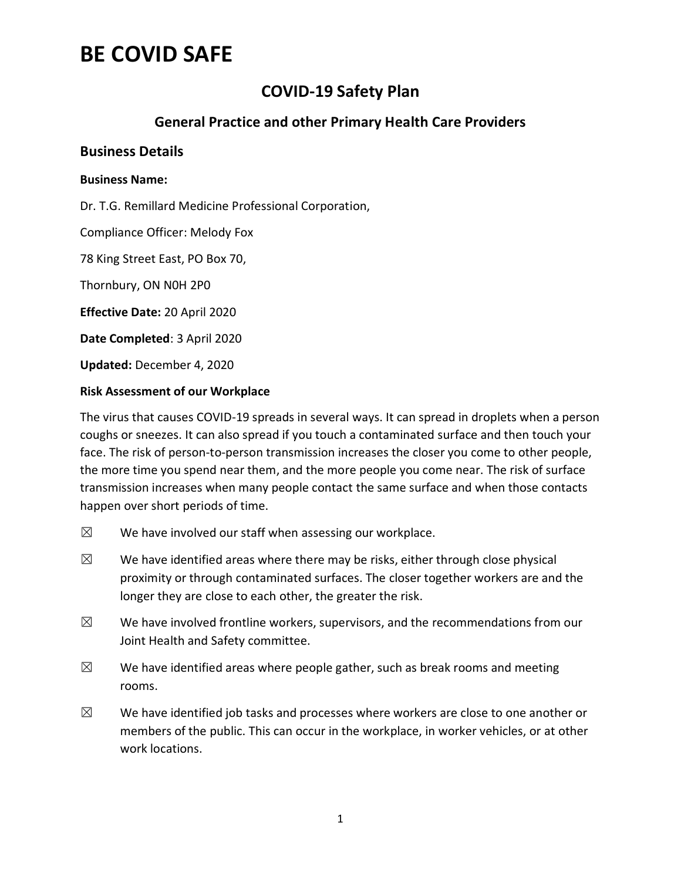## **COVID-19 Safety Plan**

## **General Practice and other Primary Health Care Providers**

### **Business Details**

#### **Business Name:**

Dr. T.G. Remillard Medicine Professional Corporation,

Compliance Officer: Melody Fox

78 King Street East, PO Box 70,

Thornbury, ON N0H 2P0

**Effective Date:** 20 April 2020

**Date Completed**: 3 April 2020

**Updated:** December 4, 2020

#### **Risk Assessment of our Workplace**

The virus that causes COVID-19 spreads in several ways. It can spread in droplets when a person coughs or sneezes. It can also spread if you touch a contaminated surface and then touch your face. The risk of person-to-person transmission increases the closer you come to other people, the more time you spend near them, and the more people you come near. The risk of surface transmission increases when many people contact the same surface and when those contacts happen over short periods of time.

- $\boxtimes$  We have involved our staff when assessing our workplace.
- $\boxtimes$  We have identified areas where there may be risks, either through close physical proximity or through contaminated surfaces. The closer together workers are and the longer they are close to each other, the greater the risk.
- $\boxtimes$  We have involved frontline workers, supervisors, and the recommendations from our Joint Health and Safety committee.
- $\boxtimes$  We have identified areas where people gather, such as break rooms and meeting rooms.
- $\boxtimes$  We have identified job tasks and processes where workers are close to one another or members of the public. This can occur in the workplace, in worker vehicles, or at other work locations.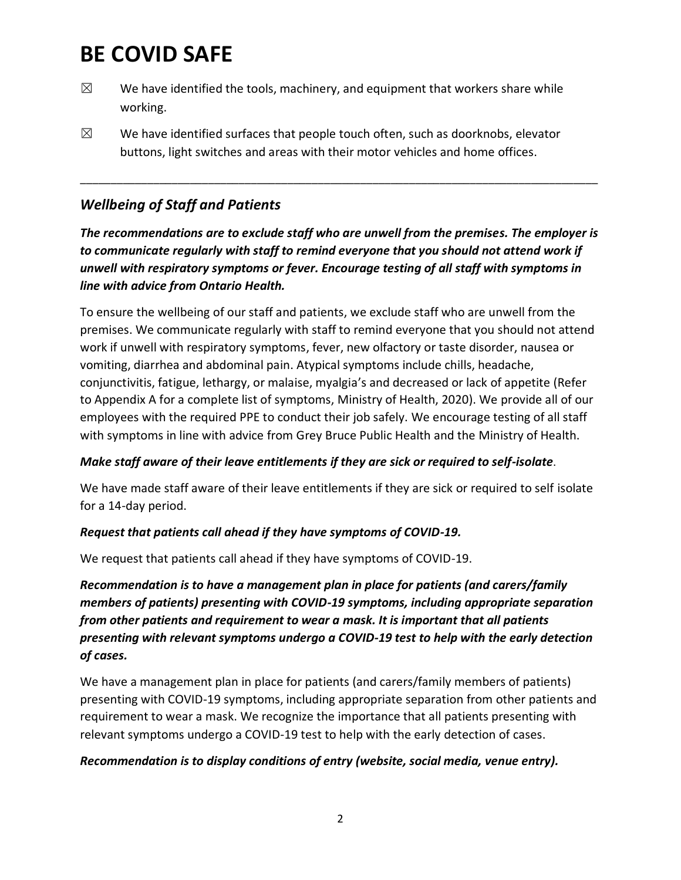- $\boxtimes$  We have identified the tools, machinery, and equipment that workers share while working.
- $\boxtimes$  We have identified surfaces that people touch often, such as doorknobs, elevator buttons, light switches and areas with their motor vehicles and home offices.

## *Wellbeing of Staff and Patients*

*The recommendations are to exclude staff who are unwell from the premises. The employer is to communicate regularly with staff to remind everyone that you should not attend work if unwell with respiratory symptoms or fever. Encourage testing of all staff with symptoms in line with advice from Ontario Health.* 

\_\_\_\_\_\_\_\_\_\_\_\_\_\_\_\_\_\_\_\_\_\_\_\_\_\_\_\_\_\_\_\_\_\_\_\_\_\_\_\_\_\_\_\_\_\_\_\_\_\_\_\_\_\_\_\_\_\_\_\_\_\_\_\_\_\_\_\_\_\_\_\_\_\_\_\_\_\_\_\_\_\_\_\_\_

To ensure the wellbeing of our staff and patients, we exclude staff who are unwell from the premises. We communicate regularly with staff to remind everyone that you should not attend work if unwell with respiratory symptoms, fever, new olfactory or taste disorder, nausea or vomiting, diarrhea and abdominal pain. Atypical symptoms include chills, headache, conjunctivitis, fatigue, lethargy, or malaise, myalgia's and decreased or lack of appetite (Refer to Appendix A for a complete list of symptoms, Ministry of Health, 2020). We provide all of our employees with the required PPE to conduct their job safely. We encourage testing of all staff with symptoms in line with advice from Grey Bruce Public Health and the Ministry of Health.

### *Make staff aware of their leave entitlements if they are sick or required to self-isolate*.

We have made staff aware of their leave entitlements if they are sick or required to self isolate for a 14-day period.

### *Request that patients call ahead if they have symptoms of COVID-19.*

We request that patients call ahead if they have symptoms of COVID-19.

*Recommendation is to have a management plan in place for patients (and carers/family members of patients) presenting with COVID-19 symptoms, including appropriate separation from other patients and requirement to wear a mask. It is important that all patients presenting with relevant symptoms undergo a COVID-19 test to help with the early detection of cases.* 

We have a management plan in place for patients (and carers/family members of patients) presenting with COVID-19 symptoms, including appropriate separation from other patients and requirement to wear a mask. We recognize the importance that all patients presenting with relevant symptoms undergo a COVID-19 test to help with the early detection of cases.

### *Recommendation is to display conditions of entry (website, social media, venue entry).*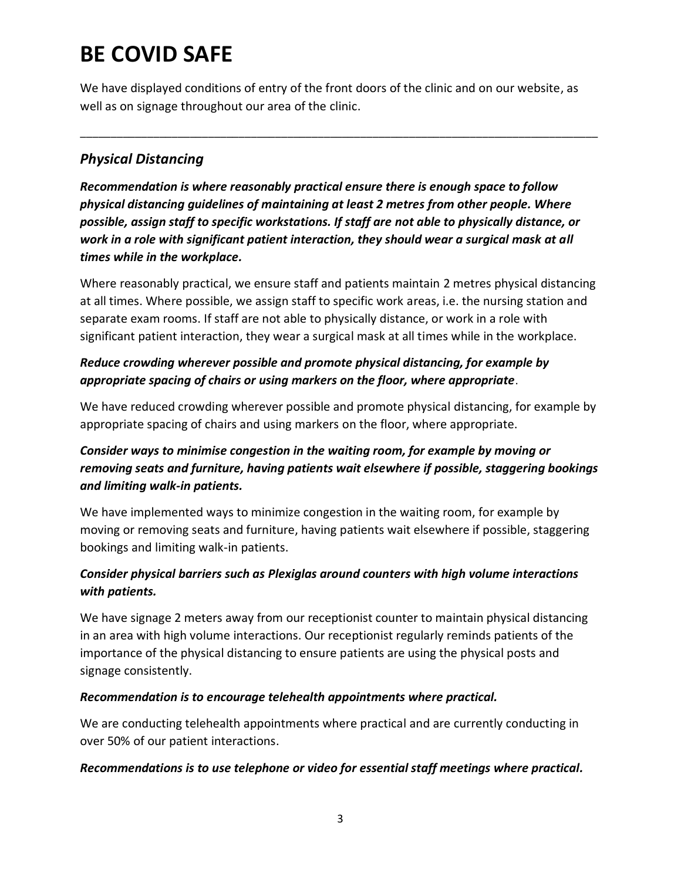We have displayed conditions of entry of the front doors of the clinic and on our website, as well as on signage throughout our area of the clinic.

\_\_\_\_\_\_\_\_\_\_\_\_\_\_\_\_\_\_\_\_\_\_\_\_\_\_\_\_\_\_\_\_\_\_\_\_\_\_\_\_\_\_\_\_\_\_\_\_\_\_\_\_\_\_\_\_\_\_\_\_\_\_\_\_\_\_\_\_\_\_\_\_\_\_\_\_\_\_\_\_\_\_\_\_\_

## *Physical Distancing*

*Recommendation is where reasonably practical ensure there is enough space to follow physical distancing guidelines of maintaining at least 2 metres from other people. Where possible, assign staff to specific workstations. If staff are not able to physically distance, or work in a role with significant patient interaction, they should wear a surgical mask at all times while in the workplace.* 

Where reasonably practical, we ensure staff and patients maintain 2 metres physical distancing at all times. Where possible, we assign staff to specific work areas, i.e. the nursing station and separate exam rooms. If staff are not able to physically distance, or work in a role with significant patient interaction, they wear a surgical mask at all times while in the workplace.

## *Reduce crowding wherever possible and promote physical distancing, for example by appropriate spacing of chairs or using markers on the floor, where appropriate*.

We have reduced crowding wherever possible and promote physical distancing, for example by appropriate spacing of chairs and using markers on the floor, where appropriate.

## *Consider ways to minimise congestion in the waiting room, for example by moving or removing seats and furniture, having patients wait elsewhere if possible, staggering bookings and limiting walk-in patients.*

We have implemented ways to minimize congestion in the waiting room, for example by moving or removing seats and furniture, having patients wait elsewhere if possible, staggering bookings and limiting walk-in patients.

## *Consider physical barriers such as Plexiglas around counters with high volume interactions with patients.*

We have signage 2 meters away from our receptionist counter to maintain physical distancing in an area with high volume interactions. Our receptionist regularly reminds patients of the importance of the physical distancing to ensure patients are using the physical posts and signage consistently.

### *Recommendation is to encourage telehealth appointments where practical.*

We are conducting telehealth appointments where practical and are currently conducting in over 50% of our patient interactions.

### *Recommendations is to use telephone or video for essential staff meetings where practical.*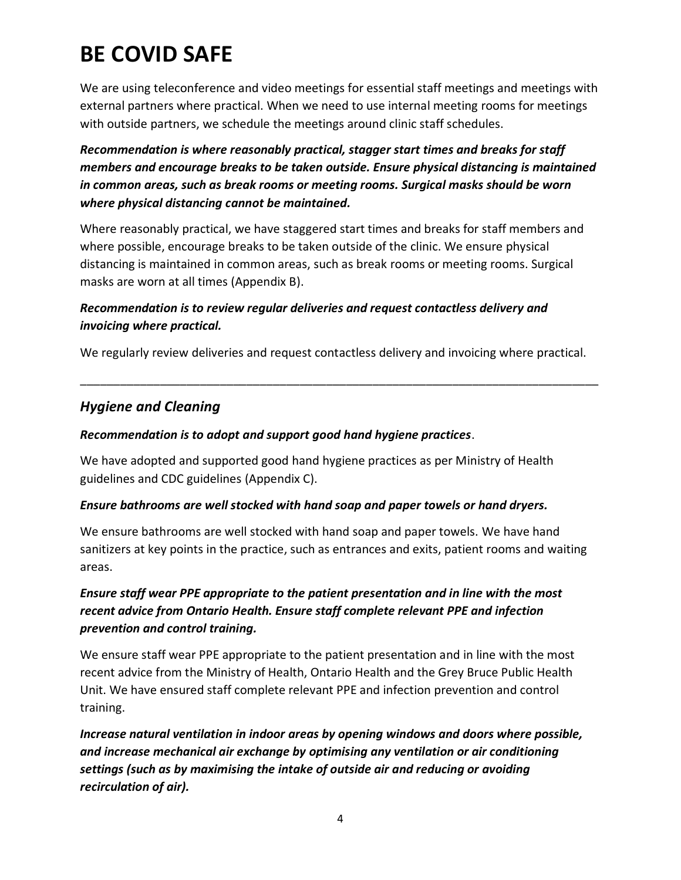We are using teleconference and video meetings for essential staff meetings and meetings with external partners where practical. When we need to use internal meeting rooms for meetings with outside partners, we schedule the meetings around clinic staff schedules.

*Recommendation is where reasonably practical, stagger start times and breaks for staff members and encourage breaks to be taken outside. Ensure physical distancing is maintained in common areas, such as break rooms or meeting rooms. Surgical masks should be worn where physical distancing cannot be maintained.* 

Where reasonably practical, we have staggered start times and breaks for staff members and where possible, encourage breaks to be taken outside of the clinic. We ensure physical distancing is maintained in common areas, such as break rooms or meeting rooms. Surgical masks are worn at all times (Appendix B).

## *Recommendation is to review regular deliveries and request contactless delivery and invoicing where practical.*

We regularly review deliveries and request contactless delivery and invoicing where practical.

\_\_\_\_\_\_\_\_\_\_\_\_\_\_\_\_\_\_\_\_\_\_\_\_\_\_\_\_\_\_\_\_\_\_\_\_\_\_\_\_\_\_\_\_\_\_\_\_\_\_\_\_\_\_\_\_\_\_\_\_\_\_\_\_\_\_\_\_\_\_\_\_\_\_\_\_\_\_

## *Hygiene and Cleaning*

### *Recommendation is to adopt and support good hand hygiene practices*.

We have adopted and supported good hand hygiene practices as per Ministry of Health guidelines and CDC guidelines (Appendix C).

### *Ensure bathrooms are well stocked with hand soap and paper towels or hand dryers.*

We ensure bathrooms are well stocked with hand soap and paper towels. We have hand sanitizers at key points in the practice, such as entrances and exits, patient rooms and waiting areas.

## *Ensure staff wear PPE appropriate to the patient presentation and in line with the most recent advice from Ontario Health. Ensure staff complete relevant PPE and infection prevention and control training.*

We ensure staff wear PPE appropriate to the patient presentation and in line with the most recent advice from the Ministry of Health, Ontario Health and the Grey Bruce Public Health Unit. We have ensured staff complete relevant PPE and infection prevention and control training.

*Increase natural ventilation in indoor areas by opening windows and doors where possible, and increase mechanical air exchange by optimising any ventilation or air conditioning settings (such as by maximising the intake of outside air and reducing or avoiding recirculation of air).*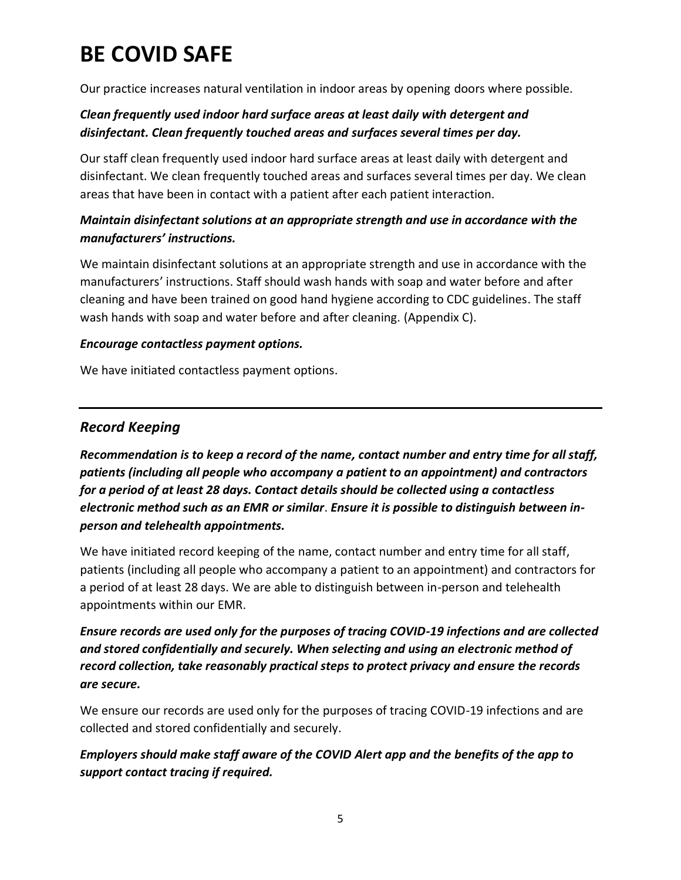Our practice increases natural ventilation in indoor areas by opening doors where possible.

## *Clean frequently used indoor hard surface areas at least daily with detergent and disinfectant. Clean frequently touched areas and surfaces several times per day.*

Our staff clean frequently used indoor hard surface areas at least daily with detergent and disinfectant. We clean frequently touched areas and surfaces several times per day. We clean areas that have been in contact with a patient after each patient interaction.

## *Maintain disinfectant solutions at an appropriate strength and use in accordance with the manufacturers' instructions.*

We maintain disinfectant solutions at an appropriate strength and use in accordance with the manufacturers' instructions. Staff should wash hands with soap and water before and after cleaning and have been trained on good hand hygiene according to CDC guidelines. The staff wash hands with soap and water before and after cleaning. (Appendix C).

### *Encourage contactless payment options.*

We have initiated contactless payment options.

## *Record Keeping*

*Recommendation is to keep a record of the name, contact number and entry time for all staff, patients (including all people who accompany a patient to an appointment) and contractors for a period of at least 28 days. Contact details should be collected using a contactless electronic method such as an EMR or similar*. *Ensure it is possible to distinguish between inperson and telehealth appointments.*

We have initiated record keeping of the name, contact number and entry time for all staff, patients (including all people who accompany a patient to an appointment) and contractors for a period of at least 28 days. We are able to distinguish between in-person and telehealth appointments within our EMR.

## *Ensure records are used only for the purposes of tracing COVID-19 infections and are collected and stored confidentially and securely. When selecting and using an electronic method of record collection, take reasonably practical steps to protect privacy and ensure the records are secure.*

We ensure our records are used only for the purposes of tracing COVID-19 infections and are collected and stored confidentially and securely.

## *Employers should make staff aware of the COVID Alert app and the benefits of the app to support contact tracing if required.*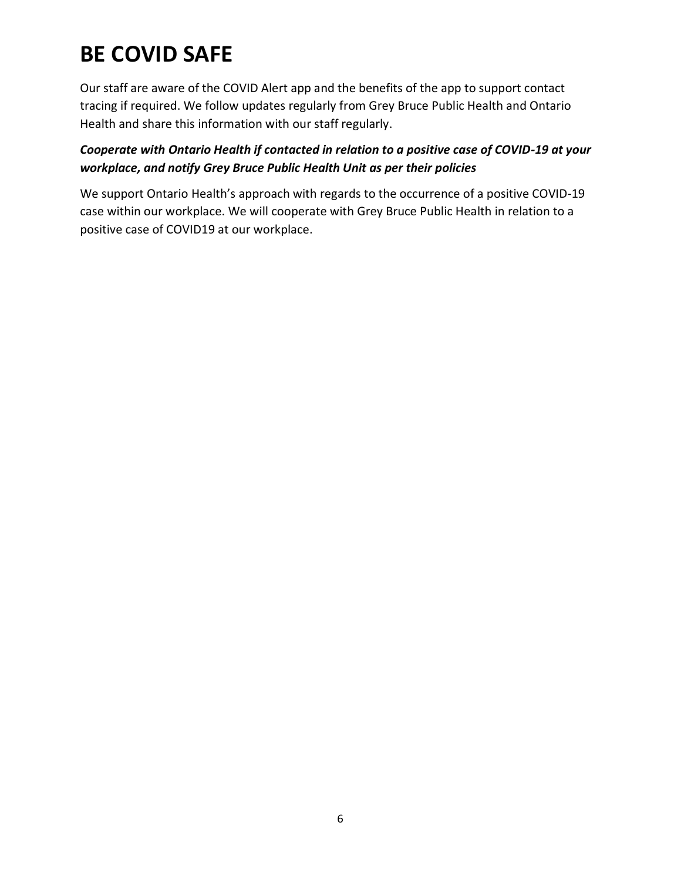Our staff are aware of the COVID Alert app and the benefits of the app to support contact tracing if required. We follow updates regularly from Grey Bruce Public Health and Ontario Health and share this information with our staff regularly.

## *Cooperate with Ontario Health if contacted in relation to a positive case of COVID-19 at your workplace, and notify Grey Bruce Public Health Unit as per their policies*

We support Ontario Health's approach with regards to the occurrence of a positive COVID-19 case within our workplace. We will cooperate with Grey Bruce Public Health in relation to a positive case of COVID19 at our workplace.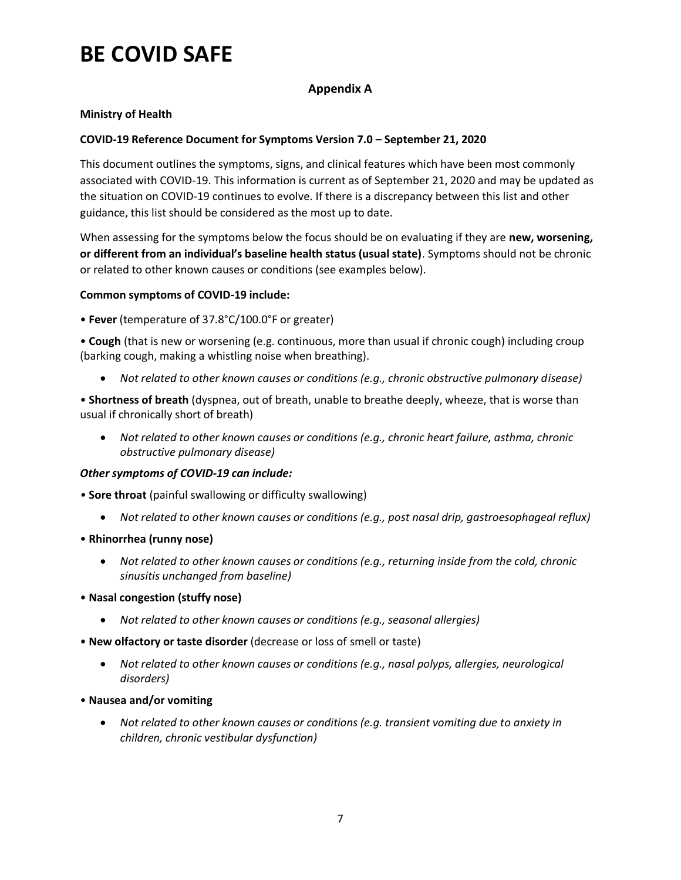#### **Appendix A**

#### **Ministry of Health**

#### **COVID-19 Reference Document for Symptoms Version 7.0 – September 21, 2020**

This document outlines the symptoms, signs, and clinical features which have been most commonly associated with COVID-19. This information is current as of September 21, 2020 and may be updated as the situation on COVID-19 continues to evolve. If there is a discrepancy between this list and other guidance, this list should be considered as the most up to date.

When assessing for the symptoms below the focus should be on evaluating if they are **new, worsening, or different from an individual's baseline health status (usual state)**. Symptoms should not be chronic or related to other known causes or conditions (see examples below).

#### **Common symptoms of COVID-19 include:**

• **Fever** (temperature of 37.8°C/100.0°F or greater)

• **Cough** (that is new or worsening (e.g. continuous, more than usual if chronic cough) including croup (barking cough, making a whistling noise when breathing).

*Not related to other known causes or conditions (e.g., chronic obstructive pulmonary disease)* 

• **Shortness of breath** (dyspnea, out of breath, unable to breathe deeply, wheeze, that is worse than usual if chronically short of breath)

 *Not related to other known causes or conditions (e.g., chronic heart failure, asthma, chronic obstructive pulmonary disease)*

#### *Other symptoms of COVID-19 can include:*

*•* **Sore throat** (painful swallowing or difficulty swallowing)

- Not related to other known causes or conditions (e.g., post nasal drip, gastroesophageal reflux)
- **Rhinorrhea (runny nose)**
	- *Not related to other known causes or conditions (e.g., returning inside from the cold, chronic sinusitis unchanged from baseline)*
- **Nasal congestion (stuffy nose)**
	- *Not related to other known causes or conditions (e.g., seasonal allergies)*
- **New olfactory or taste disorder** (decrease or loss of smell or taste)
	- *Not related to other known causes or conditions (e.g., nasal polyps, allergies, neurological disorders)*
- **Nausea and/or vomiting**
	- *Not related to other known causes or conditions (e.g. transient vomiting due to anxiety in children, chronic vestibular dysfunction)*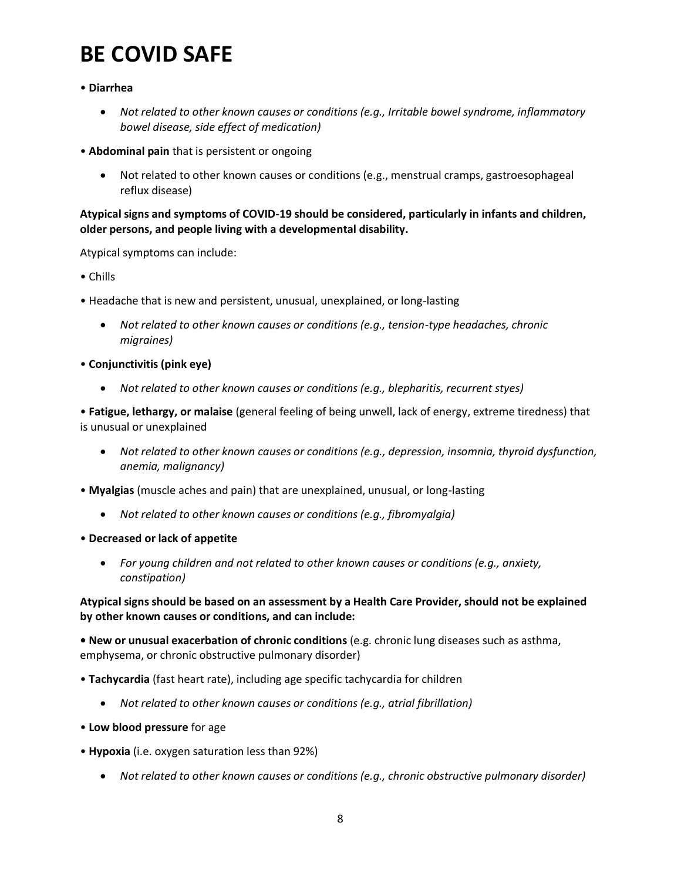#### • **Diarrhea**

- *Not related to other known causes or conditions (e.g., Irritable bowel syndrome, inflammatory bowel disease, side effect of medication)*
- **Abdominal pain** that is persistent or ongoing
	- Not related to other known causes or conditions (e.g., menstrual cramps, gastroesophageal reflux disease)

#### **Atypical signs and symptoms of COVID-19 should be considered, particularly in infants and children, older persons, and people living with a developmental disability.**

Atypical symptoms can include:

- Chills
- Headache that is new and persistent, unusual, unexplained, or long-lasting
	- *Not related to other known causes or conditions (e.g., tension-type headaches, chronic migraines)*
- **Conjunctivitis (pink eye)**
	- *Not related to other known causes or conditions (e.g., blepharitis, recurrent styes)*

• **Fatigue, lethargy, or malaise** (general feeling of being unwell, lack of energy, extreme tiredness) that is unusual or unexplained

- *Not related to other known causes or conditions (e.g., depression, insomnia, thyroid dysfunction, anemia, malignancy)*
- **Myalgias** (muscle aches and pain) that are unexplained, unusual, or long-lasting
	- *Not related to other known causes or conditions (e.g., fibromyalgia)*
- **Decreased or lack of appetite**
	- *For young children and not related to other known causes or conditions (e.g., anxiety, constipation)*

#### **Atypical signs should be based on an assessment by a Health Care Provider, should not be explained by other known causes or conditions, and can include:**

**• New or unusual exacerbation of chronic conditions** (e.g. chronic lung diseases such as asthma, emphysema, or chronic obstructive pulmonary disorder)

- **Tachycardia** (fast heart rate), including age specific tachycardia for children
	- *Not related to other known causes or conditions (e.g., atrial fibrillation)*
- **Low blood pressure** for age
- **Hypoxia** (i.e. oxygen saturation less than 92%)
	- *Not related to other known causes or conditions (e.g., chronic obstructive pulmonary disorder)*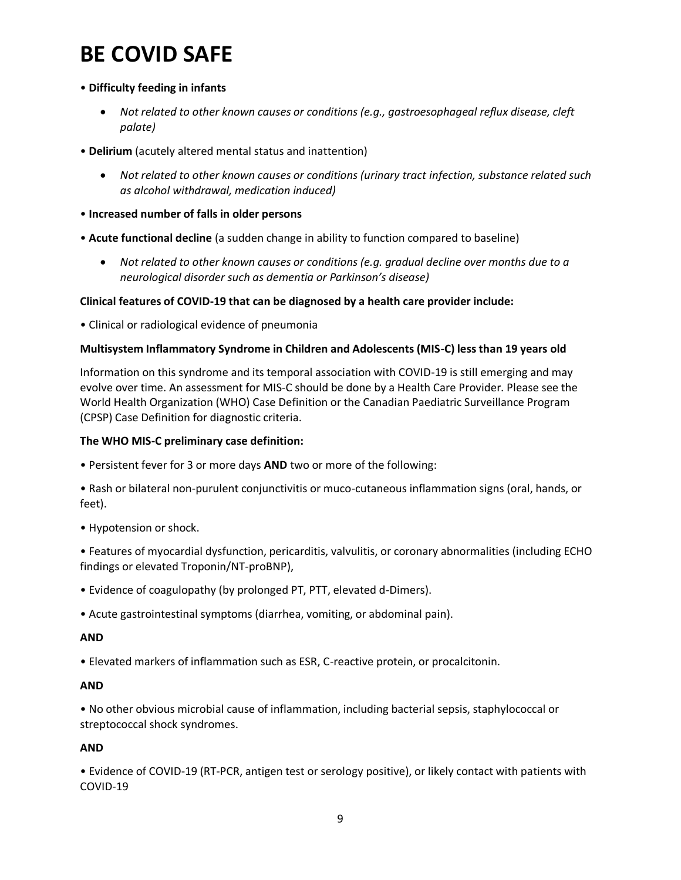#### • **Difficulty feeding in infants**

- *Not related to other known causes or conditions (e.g., gastroesophageal reflux disease, cleft palate)*
- **Delirium** (acutely altered mental status and inattention)
	- *Not related to other known causes or conditions (urinary tract infection, substance related such as alcohol withdrawal, medication induced)*
- **Increased number of falls in older persons**
- **Acute functional decline** (a sudden change in ability to function compared to baseline)
	- *Not related to other known causes or conditions (e.g. gradual decline over months due to a neurological disorder such as dementia or Parkinson's disease)*

#### **Clinical features of COVID-19 that can be diagnosed by a health care provider include:**

• Clinical or radiological evidence of pneumonia

#### **Multisystem Inflammatory Syndrome in Children and Adolescents (MIS-C) less than 19 years old**

Information on this syndrome and its temporal association with COVID-19 is still emerging and may evolve over time. An assessment for MIS-C should be done by a Health Care Provider. Please see the World Health Organization (WHO) Case Definition or the Canadian Paediatric Surveillance Program (CPSP) Case Definition for diagnostic criteria.

#### **The WHO MIS-C preliminary case definition:**

• Persistent fever for 3 or more days **AND** two or more of the following:

• Rash or bilateral non-purulent conjunctivitis or muco-cutaneous inflammation signs (oral, hands, or feet).

• Hypotension or shock.

• Features of myocardial dysfunction, pericarditis, valvulitis, or coronary abnormalities (including ECHO findings or elevated Troponin/NT-proBNP),

- Evidence of coagulopathy (by prolonged PT, PTT, elevated d-Dimers).
- Acute gastrointestinal symptoms (diarrhea, vomiting, or abdominal pain).

#### **AND**

• Elevated markers of inflammation such as ESR, C-reactive protein, or procalcitonin.

#### **AND**

• No other obvious microbial cause of inflammation, including bacterial sepsis, staphylococcal or streptococcal shock syndromes.

#### **AND**

• Evidence of COVID-19 (RT-PCR, antigen test or serology positive), or likely contact with patients with COVID-19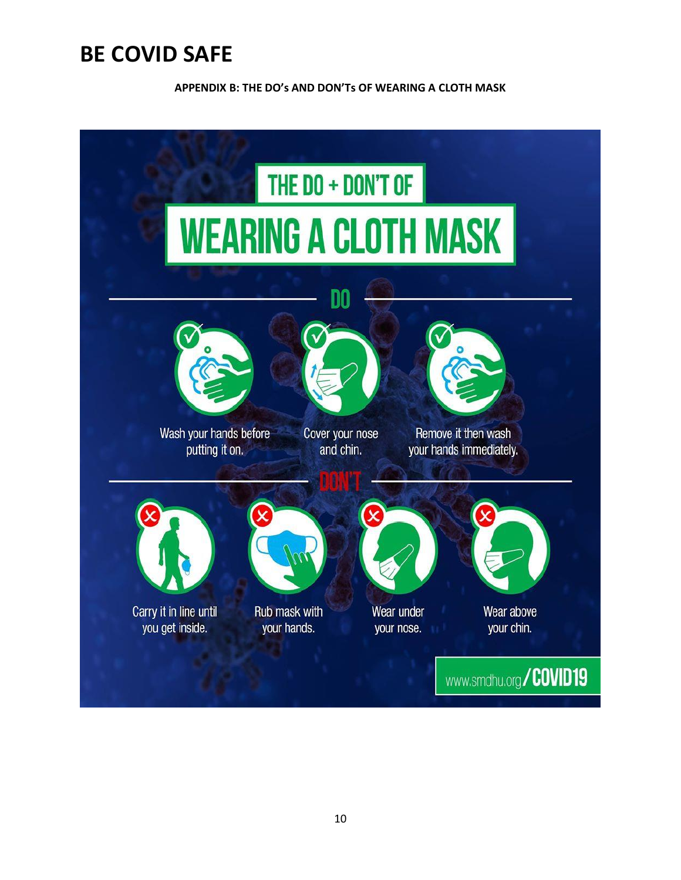**APPENDIX B: THE DO's AND DON'Ts OF WEARING A CLOTH MASK**

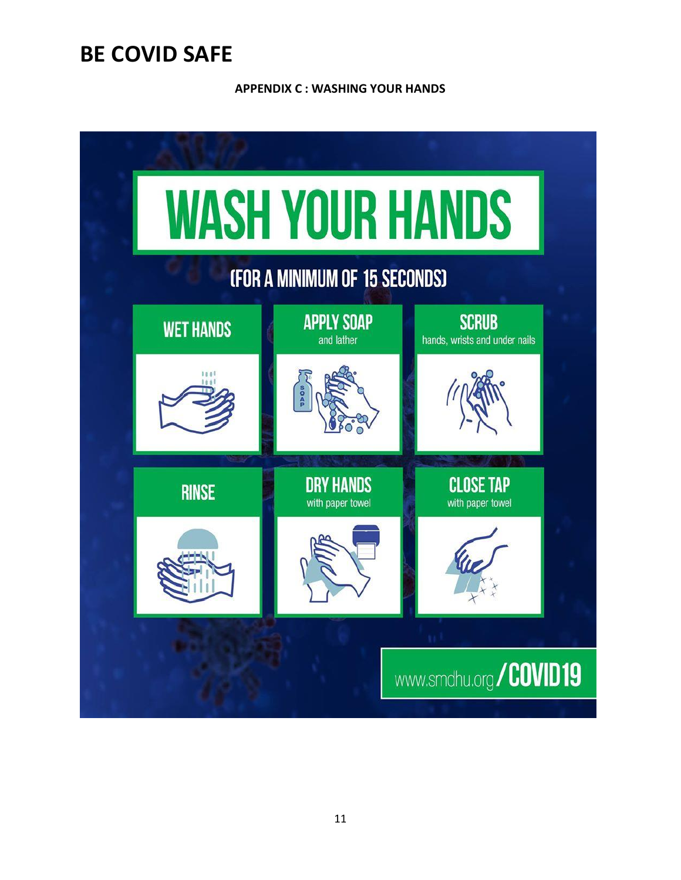**APPENDIX C : WASHING YOUR HANDS**